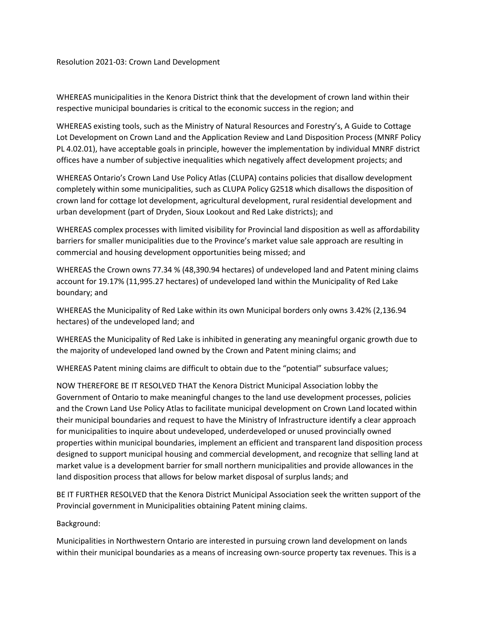Resolution 2021-03: Crown Land Development

WHEREAS municipalities in the Kenora District think that the development of crown land within their respective municipal boundaries is critical to the economic success in the region; and

WHEREAS existing tools, such as the Ministry of Natural Resources and Forestry's, A Guide to Cottage Lot Development on Crown Land and the Application Review and Land Disposition Process (MNRF Policy PL 4.02.01), have acceptable goals in principle, however the implementation by individual MNRF district offices have a number of subjective inequalities which negatively affect development projects; and

WHEREAS Ontario's Crown Land Use Policy Atlas (CLUPA) contains policies that disallow development completely within some municipalities, such as CLUPA Policy G2518 which disallows the disposition of crown land for cottage lot development, agricultural development, rural residential development and urban development (part of Dryden, Sioux Lookout and Red Lake districts); and

WHEREAS complex processes with limited visibility for Provincial land disposition as well as affordability barriers for smaller municipalities due to the Province's market value sale approach are resulting in commercial and housing development opportunities being missed; and

WHEREAS the Crown owns 77.34 % (48,390.94 hectares) of undeveloped land and Patent mining claims account for 19.17% (11,995.27 hectares) of undeveloped land within the Municipality of Red Lake boundary; and

WHEREAS the Municipality of Red Lake within its own Municipal borders only owns 3.42% (2,136.94 hectares) of the undeveloped land; and

WHEREAS the Municipality of Red Lake is inhibited in generating any meaningful organic growth due to the majority of undeveloped land owned by the Crown and Patent mining claims; and

WHEREAS Patent mining claims are difficult to obtain due to the "potential" subsurface values;

NOW THEREFORE BE IT RESOLVED THAT the Kenora District Municipal Association lobby the Government of Ontario to make meaningful changes to the land use development processes, policies and the Crown Land Use Policy Atlas to facilitate municipal development on Crown Land located within their municipal boundaries and request to have the Ministry of Infrastructure identify a clear approach for municipalities to inquire about undeveloped, underdeveloped or unused provincially owned properties within municipal boundaries, implement an efficient and transparent land disposition process designed to support municipal housing and commercial development, and recognize that selling land at market value is a development barrier for small northern municipalities and provide allowances in the land disposition process that allows for below market disposal of surplus lands; and

BE IT FURTHER RESOLVED that the Kenora District Municipal Association seek the written support of the Provincial government in Municipalities obtaining Patent mining claims.

Background:

Municipalities in Northwestern Ontario are interested in pursuing crown land development on lands within their municipal boundaries as a means of increasing own-source property tax revenues. This is a